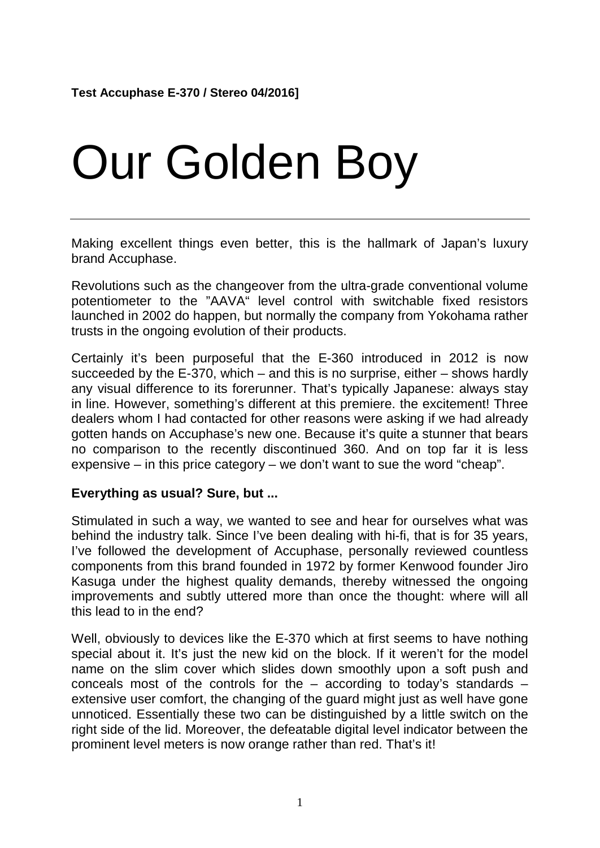## Our Golden Boy

Making excellent things even better, this is the hallmark of Japan's luxury brand Accuphase.

Revolutions such as the changeover from the ultra-grade conventional volume potentiometer to the "AAVA" level control with switchable fixed resistors launched in 2002 do happen, but normally the company from Yokohama rather trusts in the ongoing evolution of their products.

Certainly it's been purposeful that the E-360 introduced in 2012 is now succeeded by the E-370, which – and this is no surprise, either – shows hardly any visual difference to its forerunner. That's typically Japanese: always stay in line. However, something's different at this premiere. the excitement! Three dealers whom I had contacted for other reasons were asking if we had already gotten hands on Accuphase's new one. Because it's quite a stunner that bears no comparison to the recently discontinued 360. And on top far it is less expensive – in this price category – we don't want to sue the word "cheap".

## **Everything as usual? Sure, but ...**

Stimulated in such a way, we wanted to see and hear for ourselves what was behind the industry talk. Since I've been dealing with hi-fi, that is for 35 years, I've followed the development of Accuphase, personally reviewed countless components from this brand founded in 1972 by former Kenwood founder Jiro Kasuga under the highest quality demands, thereby witnessed the ongoing improvements and subtly uttered more than once the thought: where will all this lead to in the end?

Well, obviously to devices like the E-370 which at first seems to have nothing special about it. It's just the new kid on the block. If it weren't for the model name on the slim cover which slides down smoothly upon a soft push and conceals most of the controls for the  $-$  according to today's standards  $$ extensive user comfort, the changing of the guard might just as well have gone unnoticed. Essentially these two can be distinguished by a little switch on the right side of the lid. Moreover, the defeatable digital level indicator between the prominent level meters is now orange rather than red. That's it!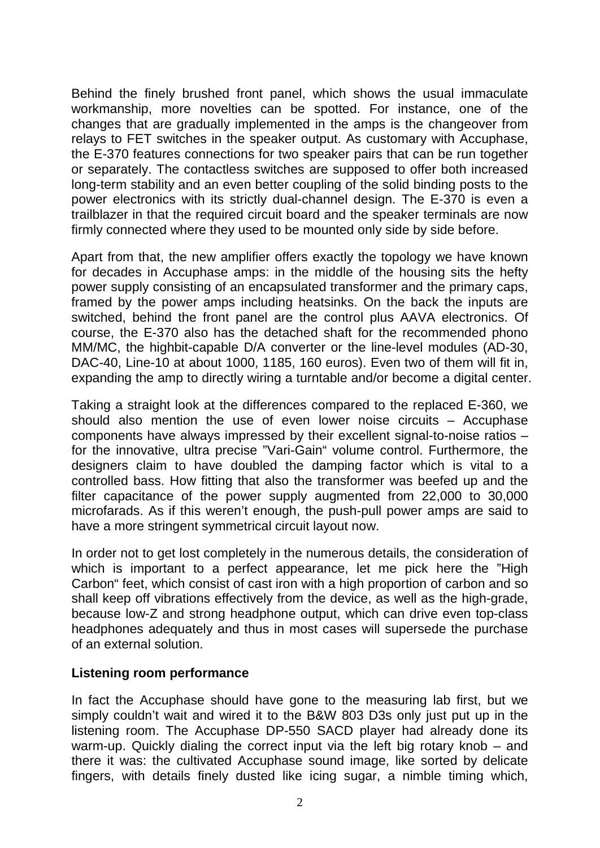Behind the finely brushed front panel, which shows the usual immaculate workmanship, more novelties can be spotted. For instance, one of the changes that are gradually implemented in the amps is the changeover from relays to FET switches in the speaker output. As customary with Accuphase, the E-370 features connections for two speaker pairs that can be run together or separately. The contactless switches are supposed to offer both increased long-term stability and an even better coupling of the solid binding posts to the power electronics with its strictly dual-channel design. The E-370 is even a trailblazer in that the required circuit board and the speaker terminals are now firmly connected where they used to be mounted only side by side before.

Apart from that, the new amplifier offers exactly the topology we have known for decades in Accuphase amps: in the middle of the housing sits the hefty power supply consisting of an encapsulated transformer and the primary caps, framed by the power amps including heatsinks. On the back the inputs are switched, behind the front panel are the control plus AAVA electronics. Of course, the E-370 also has the detached shaft for the recommended phono MM/MC, the highbit-capable D/A converter or the line-level modules (AD-30, DAC-40, Line-10 at about 1000, 1185, 160 euros). Even two of them will fit in, expanding the amp to directly wiring a turntable and/or become a digital center.

Taking a straight look at the differences compared to the replaced E-360, we should also mention the use of even lower noise circuits – Accuphase components have always impressed by their excellent signal-to-noise ratios – for the innovative, ultra precise "Vari-Gain" volume control. Furthermore, the designers claim to have doubled the damping factor which is vital to a controlled bass. How fitting that also the transformer was beefed up and the filter capacitance of the power supply augmented from 22,000 to 30,000 microfarads. As if this weren't enough, the push-pull power amps are said to have a more stringent symmetrical circuit layout now.

In order not to get lost completely in the numerous details, the consideration of which is important to a perfect appearance, let me pick here the "High Carbon" feet, which consist of cast iron with a high proportion of carbon and so shall keep off vibrations effectively from the device, as well as the high-grade, because low-Z and strong headphone output, which can drive even top-class headphones adequately and thus in most cases will supersede the purchase of an external solution.

## **Listening room performance**

In fact the Accuphase should have gone to the measuring lab first, but we simply couldn't wait and wired it to the B&W 803 D3s only just put up in the listening room. The Accuphase DP-550 SACD player had already done its warm-up. Quickly dialing the correct input via the left big rotary knob – and there it was: the cultivated Accuphase sound image, like sorted by delicate fingers, with details finely dusted like icing sugar, a nimble timing which,